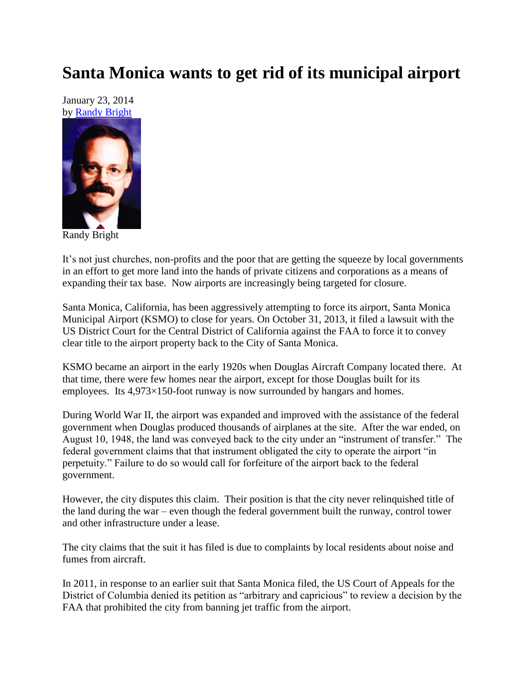## **Santa Monica wants to get rid of its municipal airport**

January 23, 2014 by [Randy Bright](http://tulsabeacon.com/writers/randy-bright/)



Randy Bright

It's not just churches, non-profits and the poor that are getting the squeeze by local governments in an effort to get more land into the hands of private citizens and corporations as a means of expanding their tax base. Now airports are increasingly being targeted for closure.

Santa Monica, California, has been aggressively attempting to force its airport, Santa Monica Municipal Airport (KSMO) to close for years. On October 31, 2013, it filed a lawsuit with the US District Court for the Central District of California against the FAA to force it to convey clear title to the airport property back to the City of Santa Monica.

KSMO became an airport in the early 1920s when Douglas Aircraft Company located there. At that time, there were few homes near the airport, except for those Douglas built for its employees. Its 4,973×150-foot runway is now surrounded by hangars and homes.

During World War II, the airport was expanded and improved with the assistance of the federal government when Douglas produced thousands of airplanes at the site. After the war ended, on August 10, 1948, the land was conveyed back to the city under an "instrument of transfer." The federal government claims that that instrument obligated the city to operate the airport "in perpetuity." Failure to do so would call for forfeiture of the airport back to the federal government.

However, the city disputes this claim. Their position is that the city never relinquished title of the land during the war – even though the federal government built the runway, control tower and other infrastructure under a lease.

The city claims that the suit it has filed is due to complaints by local residents about noise and fumes from aircraft.

In 2011, in response to an earlier suit that Santa Monica filed, the US Court of Appeals for the District of Columbia denied its petition as "arbitrary and capricious" to review a decision by the FAA that prohibited the city from banning jet traffic from the airport.